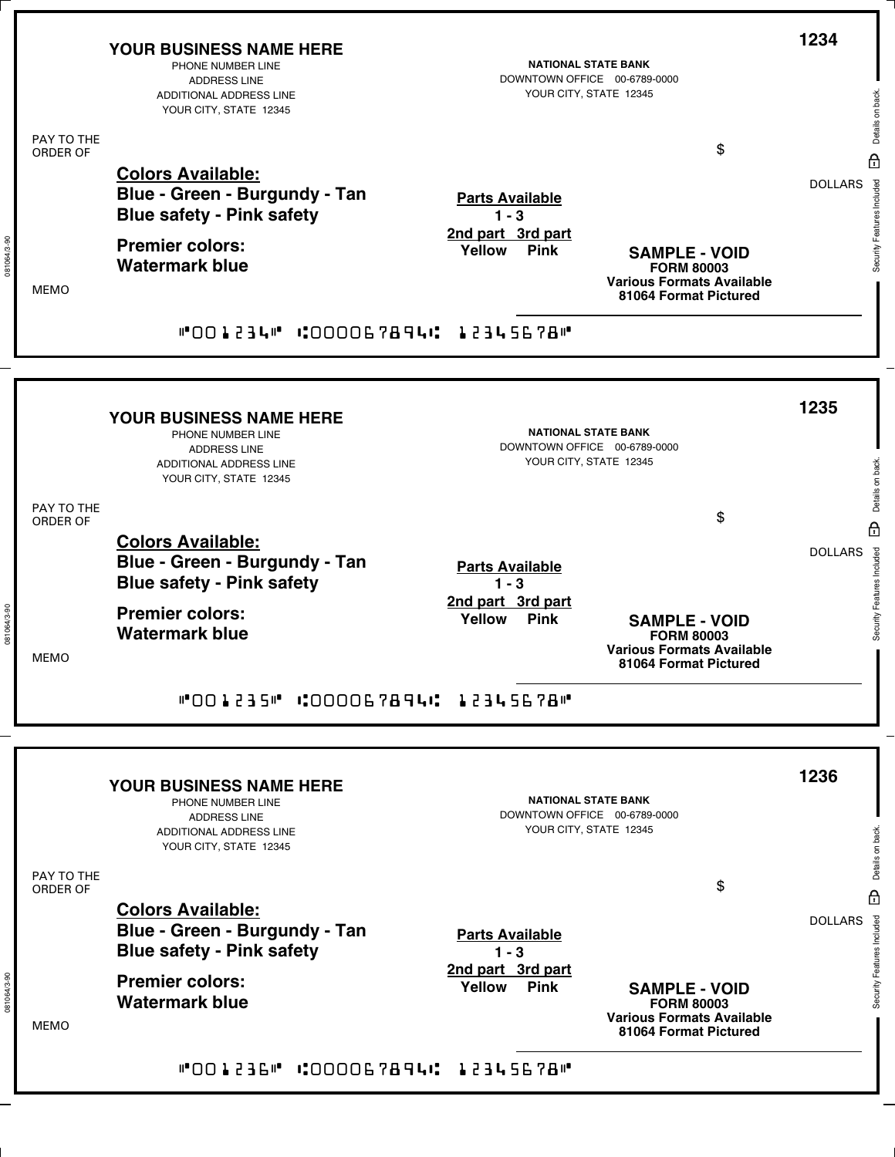|                        | <b>YOUR BUSINESS NAME HERE</b><br>PHONE NUMBER LINE<br><b>ADDRESS LINE</b><br>ADDITIONAL ADDRESS LINE<br>YOUR CITY, STATE 12345 | <b>NATIONAL STATE BANK</b><br>DOWNTOWN OFFICE 00-6789-0000<br>YOUR CITY, STATE 12345 |                                                                                                        | 1234<br>Details on back.                                       |
|------------------------|---------------------------------------------------------------------------------------------------------------------------------|--------------------------------------------------------------------------------------|--------------------------------------------------------------------------------------------------------|----------------------------------------------------------------|
| PAY TO THE<br>ORDER OF |                                                                                                                                 |                                                                                      | \$                                                                                                     |                                                                |
|                        | <b>Colors Available:</b><br>Blue - Green - Burgundy - Tan<br><b>Blue safety - Pink safety</b>                                   | <b>Parts Available</b><br>$1 - 3$<br>2nd part 3rd part                               |                                                                                                        | $\theta$<br>Security Features Included<br><b>DOLLARS</b>       |
| <b>MEMO</b>            | <b>Premier colors:</b><br><b>Watermark blue</b>                                                                                 | Yellow<br><b>Pink</b>                                                                | <b>SAMPLE - VOID</b><br><b>FORM 80003</b><br><b>Various Formats Available</b><br>81064 Format Pictured |                                                                |
|                        | "001234" :000067894: 12345678"                                                                                                  |                                                                                      |                                                                                                        |                                                                |
|                        |                                                                                                                                 |                                                                                      |                                                                                                        |                                                                |
|                        | <b>YOUR BUSINESS NAME HERE</b><br>PHONE NUMBER LINE<br><b>ADDRESS LINE</b><br>ADDITIONAL ADDRESS LINE<br>YOUR CITY, STATE 12345 | <b>NATIONAL STATE BANK</b><br>DOWNTOWN OFFICE 00-6789-0000<br>YOUR CITY, STATE 12345 |                                                                                                        | 1235<br>Details on back.                                       |
| PAY TO THE<br>ORDER OF |                                                                                                                                 |                                                                                      | \$                                                                                                     |                                                                |
|                        | <b>Colors Available:</b><br>Blue - Green - Burgundy - Tan<br><b>Blue safety - Pink safety</b>                                   | <b>Parts Available</b><br>$1 - 3$                                                    |                                                                                                        | $\theta$<br><b>DOLLARS</b>                                     |
| <b>MEMO</b>            | <b>Premier colors:</b><br><b>Watermark blue</b>                                                                                 | 2nd part 3rd part<br>Yellow<br><b>Pink</b>                                           | <b>SAMPLE - VOID</b><br><b>FORM 80003</b><br><b>Various Formats Available</b><br>81064 Format Pictured | Security Features Included                                     |
|                        | "001235" COOOG7894C 12345678"                                                                                                   |                                                                                      |                                                                                                        |                                                                |
|                        | YOUR BUSINESS NAME HERE<br>PHONE NUMBER LINE<br><b>ADDRESS LINE</b><br>ADDITIONAL ADDRESS LINE<br>YOUR CITY, STATE 12345        | <b>NATIONAL STATE BANK</b><br>DOWNTOWN OFFICE 00-6789-0000<br>YOUR CITY, STATE 12345 |                                                                                                        | 1236<br>Details on back.                                       |
| PAY TO THE<br>ORDER OF |                                                                                                                                 |                                                                                      | \$                                                                                                     |                                                                |
|                        | <b>Colors Available:</b><br>Blue - Green - Burgundy - Tan<br><b>Blue safety - Pink safety</b>                                   | <b>Parts Available</b><br>$1 - 3$                                                    |                                                                                                        | $\overline{H}$<br><b>DOLLARS</b><br>Security Features Included |
| <b>MEMO</b>            | <b>Premier colors:</b><br><b>Watermark blue</b>                                                                                 | 2nd part 3rd part<br>Yellow<br><b>Pink</b>                                           | <b>SAMPLE - VOID</b><br><b>FORM 80003</b><br><b>Various Formats Available</b><br>81064 Format Pictured |                                                                |
|                        | "001236" COOOO67894C 12345678"                                                                                                  |                                                                                      |                                                                                                        |                                                                |

081064/3-90

081064/3-90

081064/3-90

081064/3-90